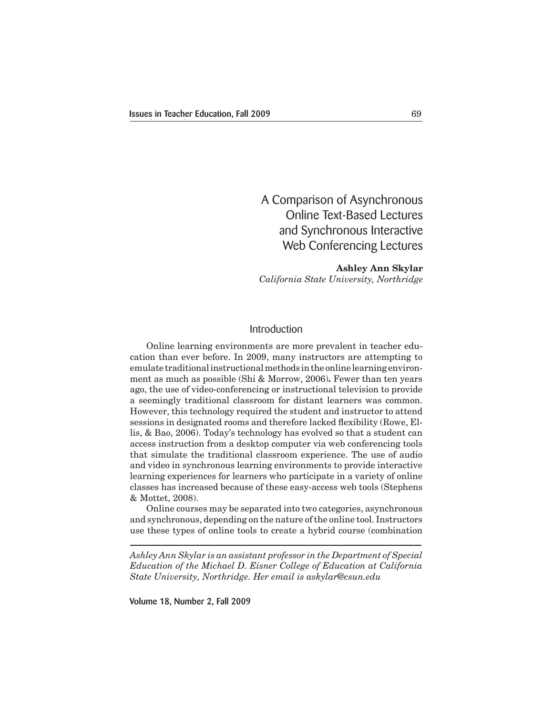A Comparison of Asynchronous Online Text-Based Lectures and Synchronous Interactive Web Conferencing Lectures

# **Ashley Ann Skylar** *California State University, Northridge*

# Introduction

 Online learning environments are more prevalent in teacher education than ever before. In 2009, many instructors are attempting to emulate traditional instructional methods in the online learning environment as much as possible (Shi & Morrow, 2006)**.** Fewer than ten years ago, the use of video-conferencing or instructional television to provide a seemingly traditional classroom for distant learners was common. However, this technology required the student and instructor to attend sessions in designated rooms and therefore lacked flexibility (Rowe, Ellis, & Bao, 2006). Today's technology has evolved so that a student can access instruction from a desktop computer via web conferencing tools that simulate the traditional classroom experience. The use of audio and video in synchronous learning environments to provide interactive learning experiences for learners who participate in a variety of online classes has increased because of these easy-access web tools (Stephens & Mottet, 2008).

 Online courses may be separated into two categories, asynchronous and synchronous, depending on the nature ofthe online tool. Instructors use these types of online tools to create a hybrid course (combination

*Ashley Ann Skylar is an assistant professor in the Department of Special Education of the Michael D. Eisner College of Education at California State University, Northridge. Her email is askylar@csun.edu*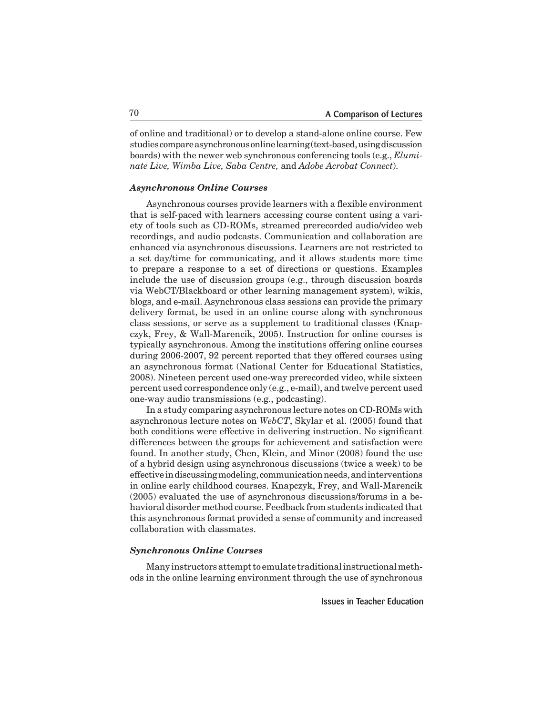of online and traditional) or to develop a stand-alone online course. Few studies compare asynchronous online learning (text-based, using discussion boards) with the newer web synchronous conferencing tools (e.g., *Eluminate Live, Wimba Live, Saba Centre,* and *Adobe Acrobat Connect*).

#### *Asynchronous Online Courses*

Asynchronous courses provide learners with a flexible environment that is self-paced with learners accessing course content using a variety of tools such as CD-ROMs, streamed prerecorded audio/video web recordings, and audio podcasts. Communication and collaboration are enhanced via asynchronous discussions. Learners are not restricted to a set day/time for communicating, and it allows students more time to prepare a response to a set of directions or questions. Examples include the use of discussion groups (e.g., through discussion boards via WebCT/Blackboard or other learning management system), wikis, blogs, and e-mail. Asynchronous class sessions can provide the primary delivery format, be used in an online course along with synchronous class sessions, or serve as a supplement to traditional classes (Knapczyk, Frey, & Wall-Marencik, 2005). Instruction for online courses is typically asynchronous. Among the institutions offering online courses during 2006-2007, 92 percent reported that they offered courses using an asynchronous format (National Center for Educational Statistics, 2008). Nineteen percent used one-way prerecorded video, while sixteen percent used correspondence only (e.g., e-mail), and twelve percent used one-way audio transmissions (e.g., podcasting).

In a study comparing asynchronous lecture notes on CD-ROMs with asynchronous lecture notes on *WebCT*, Skylar et al. (2005) found that both conditions were effective in delivering instruction. No significant differences between the groups for achievement and satisfaction were found. In another study, Chen, Klein, and Minor (2008) found the use of a hybrid design using asynchronous discussions (twice a week) to be effectiveindiscussingmodeling, communicationneeds,andinterventions in online early childhood courses. Knapczyk, Frey, and Wall-Marencik (2005) evaluated the use of asynchronous discussions/forums in a behavioral disorder method course.Feedback from students indicated that this asynchronous format provided a sense of community and increased collaboration with classmates.

### *Synchronous Online Courses*

Many instructors attempt to emulate traditional instructional methods in the online learning environment through the use of synchronous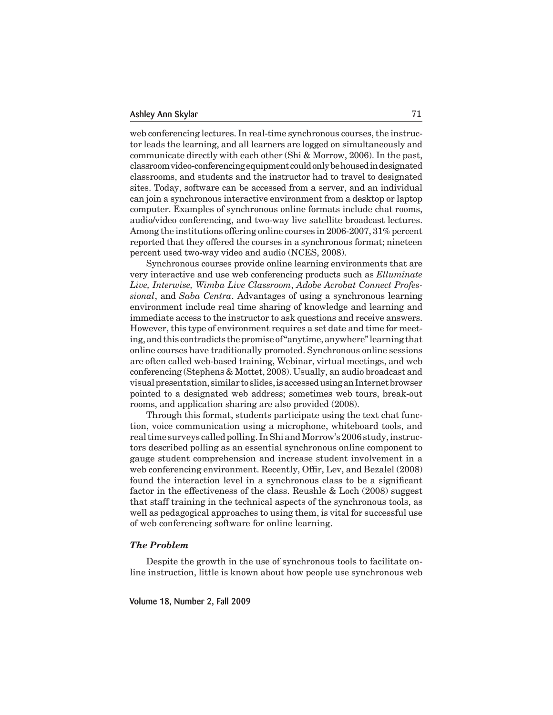web conferencing lectures. In real-time synchronous courses, the instructor leads the learning, and all learners are logged on simultaneously and communicate directly with each other (Shi & Morrow, 2006). In the past, classroomvideo-conferencingequipmentcouldonlybehousedindesignated classrooms, and students and the instructor had to travel to designated sites. Today, software can be accessed from a server, and an individual can join a synchronous interactive environment from a desktop or laptop computer. Examples of synchronous online formats include chat rooms, audio/video conferencing, and two-way live satellite broadcast lectures. Among the institutions offering online courses in 2006-2007, 31% percent reported that they offered the courses in a synchronous format; nineteen percent used two-way video and audio (NCES, 2008).

 Synchronous courses provide online learning environments that are very interactive and use web conferencing products such as *Elluminate Live, Interwise, Wimba Live Classroom*, *Adobe Acrobat Connect Professional*, and *Saba Centra*. Advantages of using a synchronous learning environment include real time sharing of knowledge and learning and immediate access to the instructor to ask questions and receive answers. However, this type of environment requires a set date and time for meeting, and this contradicts the promise of "anytime, anywhere" learning that online courses have traditionally promoted. Synchronous online sessions are often called web-based training, Webinar, virtual meetings, and web conferencing (Stephens & Mottet, 2008). Usually, an audio broadcast and visual presentation, similar to slides, is accessed using an Internet browser pointed to a designated web address; sometimes web tours, break-out rooms, and application sharing are also provided (2008).

Through this format, students participate using the text chat function, voice communication using a microphone, whiteboard tools, and real time surveys called polling. In Shi and Morrow's 2006 study, instructors described polling as an essential synchronous online component to gauge student comprehension and increase student involvement in a web conferencing environment. Recently, Offir, Lev, and Bezalel (2008) found the interaction level in a synchronous class to be a significant factor in the effectiveness of the class. Reushle & Loch (2008) suggest that staff training in the technical aspects of the synchronous tools, as well as pedagogical approaches to using them, is vital for successful use of web conferencing software for online learning.

#### *The Problem*

 Despite the growth in the use of synchronous tools to facilitate online instruction, little is known about how people use synchronous web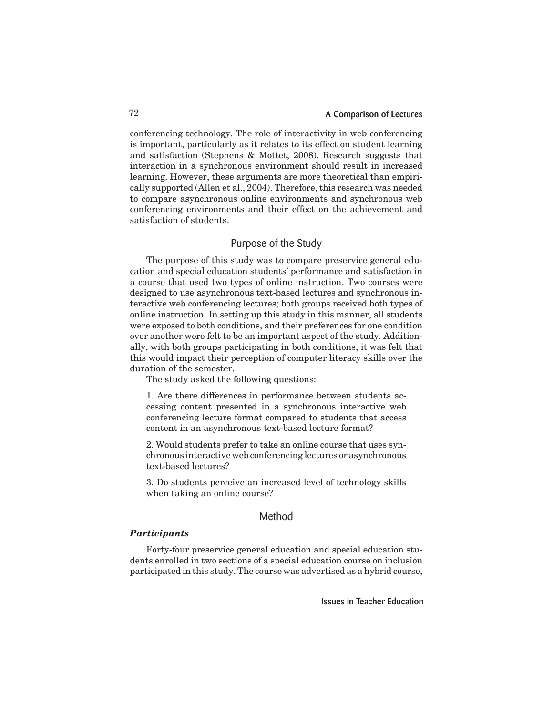conferencing technology. The role of interactivity in web conferencing is important, particularly as it relates to its effect on student learning and satisfaction (Stephens & Mottet, 2008). Research suggests that interaction in a synchronous environment should result in increased learning. However, these arguments are more theoretical than empirically supported (Allen et al., 2004). Therefore, this research was needed to compare asynchronous online environments and synchronous web conferencing environments and their effect on the achievement and satisfaction of students.

## Purpose of the Study

 The purpose of this study was to compare preservice general education and special education students' performance and satisfaction in a course that used two types of online instruction. Two courses were designed to use asynchronous text-based lectures and synchronous interactive web conferencing lectures; both groups received both types of online instruction. In setting up this study in this manner, all students were exposed to both conditions, and their preferences for one condition over another were felt to be an important aspect of the study. Additionally, with both groups participating in both conditions, it was felt that this would impact their perception of computer literacy skills over the duration of the semester.

 The study asked the following questions:

1. Are there differences in performance between students accessing content presented in a synchronous interactive web conferencing lecture format compared to students that access content in an asynchronous text-based lecture format?

2. Would students prefer to take an online course that uses synchronous interactive web conferencing lectures or asynchronous text-based lectures?

3. Do students perceive an increased level of technology skills when taking an online course?

# Method

### *Participants*

 Forty-four preservice general education and special education students enrolled in two sections of a special education course on inclusion participated in this study. The course was advertised as a hybrid course,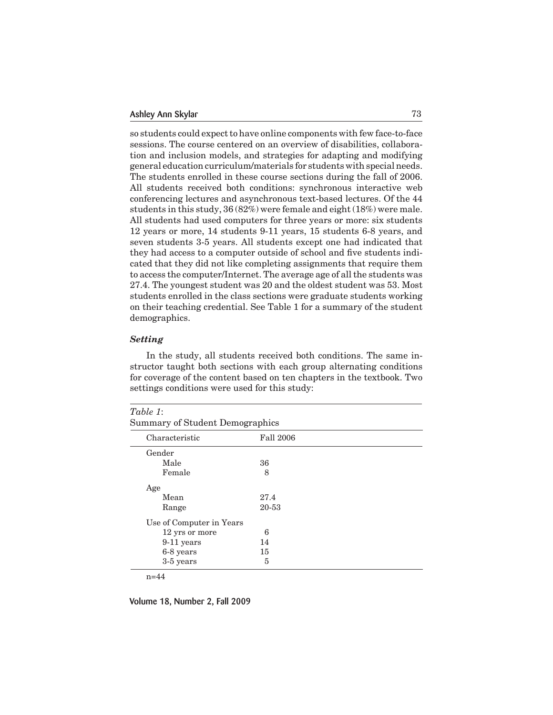so students could expect to have online components with few face-to-face sessions. The course centered on an overview of disabilities, collaboration and inclusion models, and strategies for adapting and modifying general education curriculum/materials for students with special needs. The students enrolled in these course sections during the fall of 2006. All students received both conditions: synchronous interactive web conferencing lectures and asynchronous text-based lectures. Of the 44 students in this study, 36 (82%) were female and eight (18%) were male. All students had used computers for three years or more: six students 12 years or more, 14 students 9-11 years, 15 students 6-8 years, and seven students 3-5 years. All students except one had indicated that they had access to a computer outside of school and five students indicated that they did not like completing assignments that require them to access the computer/Internet. The average age of all the students was 27.4. The youngest student was 20 and the oldest student was 53. Most students enrolled in the class sections were graduate students working on their teaching credential. See Table 1 for a summary of the student demographics.

### *Setting*

 In the study, all students received both conditions. The same instructor taught both sections with each group alternating conditions for coverage of the content based on ten chapters in the textbook. Two settings conditions were used for this study:

| Characteristic           | <b>Fall 2006</b> |  |  |  |
|--------------------------|------------------|--|--|--|
| Gender                   |                  |  |  |  |
| Male                     | 36               |  |  |  |
| Female                   | 8                |  |  |  |
| Age                      |                  |  |  |  |
| Mean                     | 27.4             |  |  |  |
| Range                    | 20-53            |  |  |  |
| Use of Computer in Years |                  |  |  |  |
| 12 yrs or more           | 6                |  |  |  |
| 9-11 years               | 14               |  |  |  |
| 6-8 years                | 15               |  |  |  |
| 3-5 years                | 5                |  |  |  |

n=44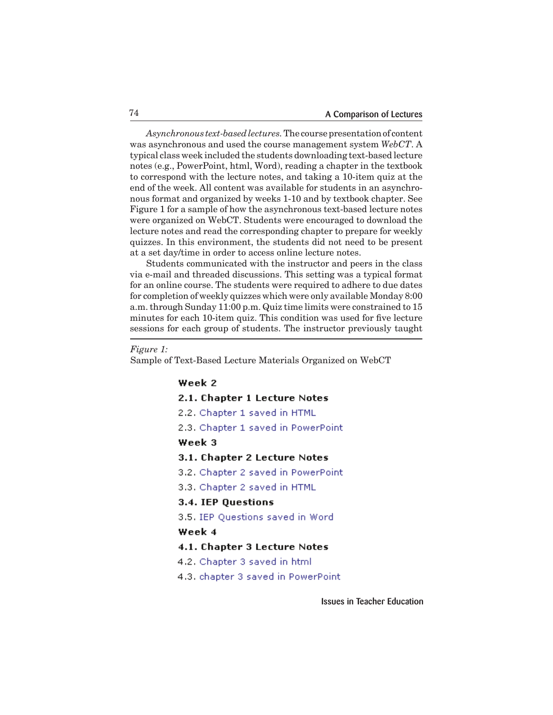*Asynchronous text-based lectures.* The coursepresentationof content was asynchronous and used the course management system *WebCT*. A typical class week included the students downloading text-based lecture notes (e.g., PowerPoint, html, Word), reading a chapter in the textbook to correspond with the lecture notes, and taking a 10-item quiz at the end of the week. All content was available for students in an asynchronous format and organized by weeks 1-10 and by textbook chapter. See Figure 1 for a sample of how the asynchronous text-based lecture notes were organized on WebCT. Students were encouraged to download the lecture notes and read the corresponding chapter to prepare for weekly quizzes. In this environment, the students did not need to be present at a set day/time in order to access online lecture notes.

 Students communicated with the instructor and peers in the class via e-mail and threaded discussions. This setting was a typical format for an online course. The students were required to adhere to due dates for completion of weekly quizzes which were only available Monday 8:00 a.m.through Sunday 11:00 p.m. Quiz time limits were constrained to 15 minutes for each 10-item quiz. This condition was used for five lecture sessions for each group of students. The instructor previously taught

```
Figure 1:
```
Sample of Text-Based Lecture Materials Organized on WebCT

## Week 2

- 2.1. Chapter 1 Lecture Notes
- 2.2. Chapter 1 saved in HTML
- 2.3. Chapter 1 saved in PowerPoint

## Week 3

- 3.1. Chapter 2 Lecture Notes
- 3.2. Chapter 2 saved in PowerPoint
- 3.3. Chapter 2 saved in HTML

### 3.4. IEP Questions

3.5. IEP Questions saved in Word

## Week 4

- 4.1. Chapter 3 Lecture Notes
- 4.2. Chapter 3 saved in html
- 4.3. chapter 3 saved in PowerPoint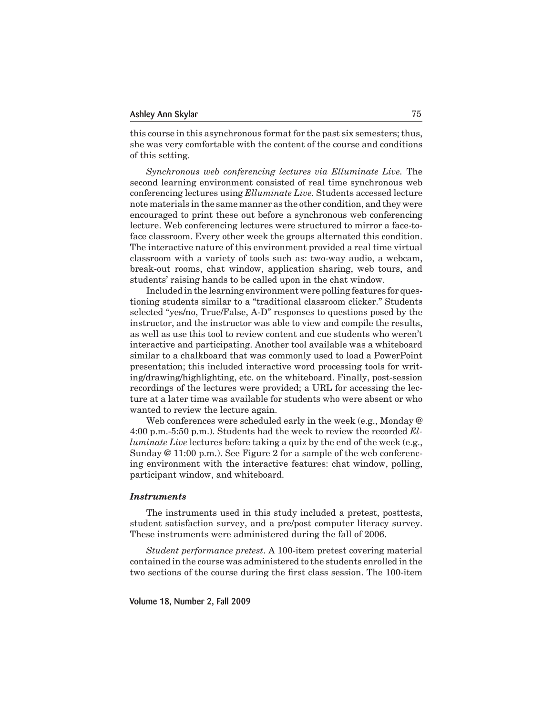this course in this asynchronous format for the past six semesters; thus, she was very comfortable with the content of the course and conditions of this setting.

*Synchronous web conferencing lectures via Elluminate Live.* The second learning environment consisted of real time synchronous web conferencing lectures using *Elluminate Live.* Students accessed lecture note materials in the same manner as the other condition, and they were encouraged to print these out before a synchronous web conferencing lecture. Web conferencing lectures were structured to mirror a face-toface classroom. Every other week the groups alternated this condition. The interactive nature of this environment provided a real time virtual classroom with a variety of tools such as: two-way audio, a webcam, break-out rooms, chat window, application sharing, web tours, and students' raising hands to be called upon in the chat window.

 Included in the learning environment were polling features for questioning students similar to a "traditional classroom clicker." Students selected "yes/no, True/False, A-D" responses to questions posed by the instructor, and the instructor was able to view and compile the results, as well as use this tool to review content and cue students who weren't interactive and participating. Another tool available was a whiteboard similar to a chalkboard that was commonly used to load a PowerPoint presentation; this included interactive word processing tools for writing/drawing/highlighting, etc. on the whiteboard. Finally, post-session recordings of the lectures were provided; a URL for accessing the lecture at a later time was available for students who were absent or who wanted to review the lecture again.

 Web conferences were scheduled early in the week (e.g., Monday @ 4:00 p.m.-5:50 p.m.). Students had the week to review the recorded *Elluminate Live* lectures before taking a quiz by the end of the week (e.g., Sunday @ 11:00 p.m.). See Figure 2 for a sample of the web conferencing environment with the interactive features: chat window, polling, participant window, and whiteboard.

### *Instruments*

 The instruments used in this study included a pretest, posttests, student satisfaction survey, and a pre/post computer literacy survey. These instruments were administered during the fall of 2006.

*Student performance pretest*. A 100-item pretest covering material contained in the course was administered to the students enrolled in the two sections of the course during the first class session. The 100-item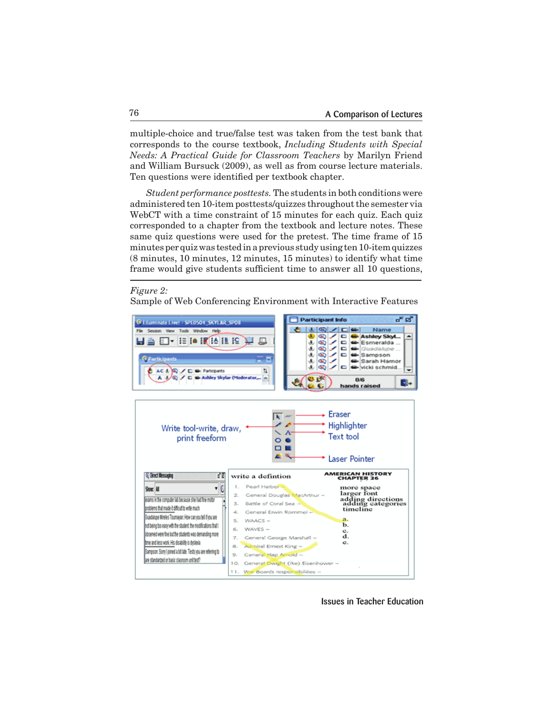multiple-choice and true/false test was taken from the test bank that corresponds to the course textbook, *Including Students with Special Needs: A Practical Guide for Classroom Teachers* by Marilyn Friend and William Bursuck (2009), as well as from course lecture materials. Ten questions were identified per textbook chapter.

*Student performance posttests.* The students in both conditions were administered ten 10-item posttests/quizzes throughout the semester via WebCT with a time constraint of 15 minutes for each quiz. Each quiz corresponded to a chapter from the textbook and lecture notes. These same quiz questions were used for the pretest. The time frame of 15 minutes per quiz was tested in a previous study using ten 10-item quizzes (8 minutes, 10 minutes, 12 minutes, 15 minutes) to identify what time frame would give students sufficient time to answer all 10 questions,

#### *Figure 2:*

Sample of Web Conferencing Environment with Interactive Features

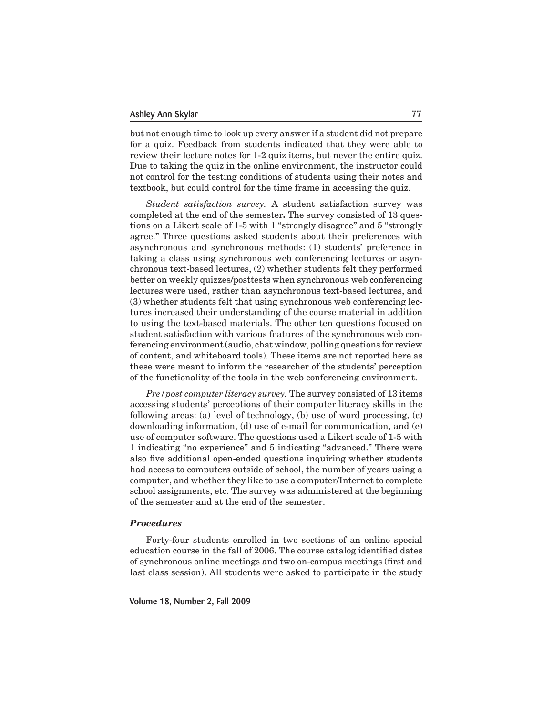but not enough time to look up every answer if a student did not prepare for a quiz. Feedback from students indicated that they were able to review their lecture notes for 1-2 quiz items, but never the entire quiz. Due to taking the quiz in the online environment, the instructor could not control for the testing conditions of students using their notes and textbook, but could control for the time frame in accessing the quiz.

*Student satisfaction survey.* A student satisfaction survey was completed at the end of the semester**.** The survey consisted of 13 questions on a Likert scale of 1-5 with 1 "strongly disagree" and 5 "strongly agree." Three questions asked students about their preferences with asynchronous and synchronous methods: (1) students' preference in taking a class using synchronous web conferencing lectures or asynchronous text-based lectures, (2) whether students felt they performed better on weekly quizzes/posttests when synchronous web conferencing lectures were used, rather than asynchronous text-based lectures, and (3) whether students felt that using synchronous web conferencing lectures increased their understanding of the course material in addition to using the text-based materials. The other ten questions focused on student satisfaction with various features of the synchronous web conferencing environment(audio, chat window, polling questions for review of content, and whiteboard tools). These items are not reported here as these were meant to inform the researcher of the students' perception of the functionality of the tools in the web conferencing environment.

*Pre/post computer literacy survey.* The survey consisted of 13 items accessing students' perceptions of their computer literacy skills in the following areas: (a) level of technology, (b) use of word processing, (c) downloading information, (d) use of e-mail for communication, and (e) use of computer software. The questions used a Likert scale of 1-5 with 1 indicating "no experience" and 5 indicating "advanced." There were also five additional open-ended questions inquiring whether students had access to computers outside of school, the number of years using a computer, and whether they like to use a computer/Internet to complete school assignments, etc. The survey was administered at the beginning of the semester and at the end of the semester.

#### *Procedures*

Forty-four students enrolled in two sections of an online special education course in the fall of 2006. The course catalog identified dates of synchronous online meetings and two on-campus meetings (first and last class session). All students were asked to participate in the study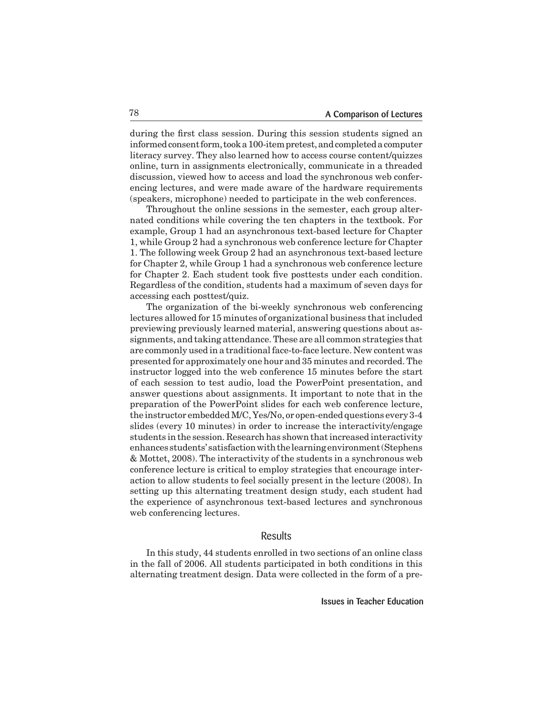during the first class session. During this session students signed an informed consent form, took a 100-item pretest, and completed a computer literacy survey. They also learned how to access course content/quizzes online, turn in assignments electronically, communicate in a threaded discussion, viewed how to access and load the synchronous web conferencing lectures, and were made aware of the hardware requirements (speakers, microphone) needed to participate in the web conferences.

 Throughout the online sessions in the semester, each group alternated conditions while covering the ten chapters in the textbook. For example, Group 1 had an asynchronous text-based lecture for Chapter 1, while Group 2 had a synchronous web conference lecture for Chapter 1. The following week Group 2 had an asynchronous text-based lecture for Chapter 2, while Group 1 had a synchronous web conference lecture for Chapter 2. Each student took five posttests under each condition. Regardless of the condition, students had a maximum of seven days for accessing each posttest/quiz.

 The organization of the bi-weekly synchronous web conferencing lectures allowed for 15 minutes of organizational business that included previewing previously learned material, answering questions about assignments, and taking attendance.These are all common strategies that are commonly used in a traditionalface-to-face lecture. New content was presented for approximately one hour and 35 minutes and recorded. The instructor logged into the web conference 15 minutes before the start of each session to test audio, load the PowerPoint presentation, and answer questions about assignments. It important to note that in the preparation of the PowerPoint slides for each web conference lecture, the instructor embedded M/C, Yes/No, or open-ended questions every 3-4 slides (every 10 minutes) in order to increase the interactivity/engage students in the session. Research has shown that increased interactivity enhances students' satisfactionwiththe learningenvironment(Stephens & Mottet, 2008). The interactivity of the students in a synchronous web conference lecture is critical to employ strategies that encourage interaction to allow students to feel socially present in the lecture (2008). In setting up this alternating treatment design study, each student had the experience of asynchronous text-based lectures and synchronous web conferencing lectures.

## Results

 In this study, 44 students enrolled in two sections of an online class in the fall of 2006. All students participated in both conditions in this alternating treatment design. Data were collected in the form of a pre-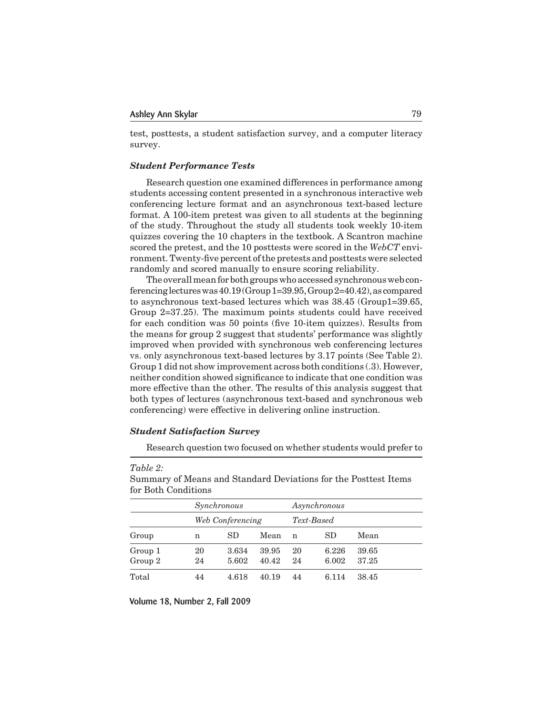test, posttests, a student satisfaction survey, and a computer literacy survey.

### *Student Performance Tests*

Research question one examined differences in performance among students accessing content presented in a synchronous interactive web conferencing lecture format and an asynchronous text-based lecture format. A 100-item pretest was given to all students at the beginning of the study. Throughout the study all students took weekly 10-item quizzes covering the 10 chapters in the textbook. A Scantron machine scored the pretest, and the 10 posttests were scored in the *WebCT* environment. Twenty-five percent of the pretests and posttests were selected randomly and scored manually to ensure scoring reliability.

The overall mean for both groups who accessed synchronous web conferencing lectures was  $40.19$  (Group 1=39.95, Group 2=40.42), as compared to asynchronous text-based lectures which was 38.45 (Group1=39.65, Group 2=37.25). The maximum points students could have received for each condition was 50 points (five 10-item quizzes). Results from the means for group 2 suggest that students' performance was slightly improved when provided with synchronous web conferencing lectures vs. only asynchronous text-based lectures by 3.17 points (See Table 2). Group 1 did not show improvement across both conditions (.3). However, neither condition showed significance to indicate that one condition was more effective than the other. The results of this analysis suggest that both types of lectures (asynchronous text-based and synchronous web conferencing) were effective in delivering online instruction.

## *Student Satisfaction Survey*

*Table 2:*

Research question two focused on whether students would prefer to

| for Doll Conditions |          |                  |                |          |                |                |  |  |  |
|---------------------|----------|------------------|----------------|----------|----------------|----------------|--|--|--|
| Synchronous         |          |                  | Asynchronous   |          |                |                |  |  |  |
|                     |          | Web Conferencing |                |          | Text-Based     |                |  |  |  |
| Group               | n        | SD               | Mean           | n        | <b>SD</b>      | Mean           |  |  |  |
| Group 1<br>Group 2  | 20<br>24 | 3.634<br>5.602   | 39.95<br>40.42 | 20<br>24 | 6.226<br>6.002 | 39.65<br>37.25 |  |  |  |
| Total               | 44       | 4.618            | 40.19          | 44       | 6.114          | 38.45          |  |  |  |

Summary of Means and Standard Deviations for the Posttest Items for Both Conditions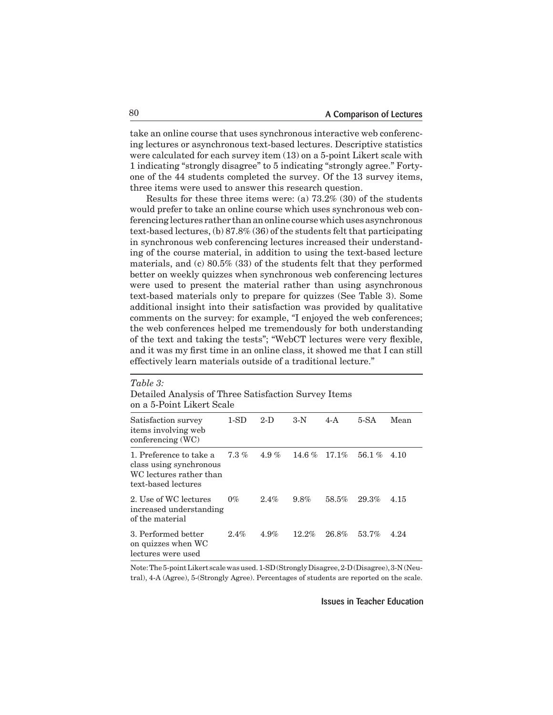take an online course that uses synchronous interactive web conferencing lectures or asynchronous text-based lectures. Descriptive statistics were calculated for each survey item (13) on a 5-point Likert scale with 1 indicating "strongly disagree" to 5 indicating "strongly agree." Fortyone of the 44 students completed the survey. Of the 13 survey items, three items were used to answer this research question.

Results for these three items were: (a) 73.2% (30) of the students would prefer to take an online course which uses synchronous web conferencing lectures rather than an online course which uses asynchronous text-based lectures, (b) 87.8% (36) of the students felt that participating in synchronous web conferencing lectures increased their understanding of the course material, in addition to using the text-based lecture materials, and (c) 80.5% (33) of the students felt that they performed better on weekly quizzes when synchronous web conferencing lectures were used to present the material rather than using asynchronous text-based materials only to prepare for quizzes (See Table 3). Some additional insight into their satisfaction was provided by qualitative comments on the survey: for example, *"*I enjoyed the web conferences; the web conferences helped me tremendously for both understanding of the text and taking the tests"; "WebCT lectures were very flexible, and it was my first time in an online class, it showed me that I can still effectively learn materials outside of a traditional lecture."

| Table 3:<br>Detailed Analysis of Three Satisfaction Survey Items<br>on a 5-Point Likert Scale        |         |         |          |          |          |      |  |
|------------------------------------------------------------------------------------------------------|---------|---------|----------|----------|----------|------|--|
| Satisfaction survey<br>items involving web<br>$\rm{conferencing}$ (WC)                               | $1-SD$  | $2-D$   | $3-N$    | $4-A$    | $5-SA$   | Mean |  |
| 1. Preference to take a<br>class using synchronous<br>WC lectures rather than<br>text-based lectures | $7.3\%$ | 4.9%    | 14.6 $%$ | $17.1\%$ | $56.1\%$ | 4.10 |  |
| 2. Use of WC lectures<br>increased understanding<br>of the material                                  | $0\%$   | $2.4\%$ | 9.8%     | 58.5%    | 29.3%    | 4.15 |  |
| 3. Performed better<br>on quizzes when WC<br>lectures were used                                      | 2.4%    | 4.9%    | 12.2%    | 26.8%    | 53.7%    | 4.24 |  |

Note:The5-pointLikert scalewasused.1-SD(StronglyDisagree,2-D(Disagree),3-N(Neutral), 4-A (Agree), 5-(Strongly Agree). Percentages of students are reported on the scale.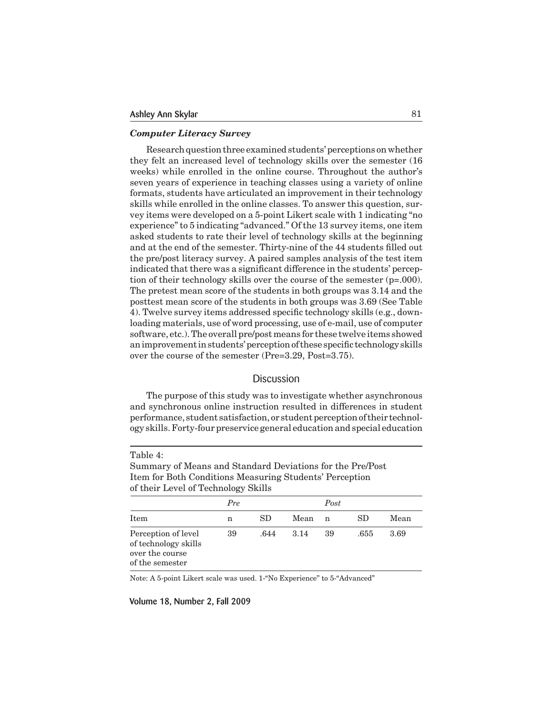### *Computer Literacy Survey*

Research question three examined students' perceptions on whether they felt an increased level of technology skills over the semester (16 weeks) while enrolled in the online course. Throughout the author's seven years of experience in teaching classes using a variety of online formats, students have articulated an improvement in their technology skills while enrolled in the online classes. To answer this question, survey items were developed on a 5-point Likert scale with 1 indicating "no experience" to 5 indicating "advanced." Of the 13 survey items, one item asked students to rate their level of technology skills at the beginning and at the end of the semester. Thirty-nine of the 44 students filled out the pre/post literacy survey. A paired samples analysis of the test item indicated that there was a significant difference in the students' perception of their technology skills over the course of the semester (p=.000). The pretest mean score of the students in both groups was 3.14 and the posttest mean score of the students in both groups was 3.69 (See Table 4). Twelve survey items addressed specific technology skills (e.g., downloading materials, use of word processing, use of e-mail, use of computer software, etc.). The overall pre/post means for these twelve items showed an improvement in students' perception of these specific technology skills over the course of the semester (Pre=3.29, Post=3.75).

### **Discussion**

 The purpose of this study was to investigate whether asynchronous and synchronous online instruction resulted in differences in student performance, student satisfaction, or student perception of their technology skills.Forty-four preservice general education and special education

| of their Level of Technology Skills                                               |     |      |      |      |      |      |  |
|-----------------------------------------------------------------------------------|-----|------|------|------|------|------|--|
|                                                                                   | Pre |      |      | Post |      |      |  |
| Item                                                                              | n   | SD.  | Mean | n    | SD.  | Mean |  |
| Perception of level<br>of technology skills<br>over the course<br>of the semester | 39  | .644 | 3.14 | 39   | .655 | 3.69 |  |

Summary of Means and Standard Deviations for the Pre/Post Item for Both Conditions Measuring Students' Perception

Note: A 5-point Likert scale was used. 1-"No Experience" to 5-"Advanced"

Volume 18, Number 2, Fall 2009

Table 4: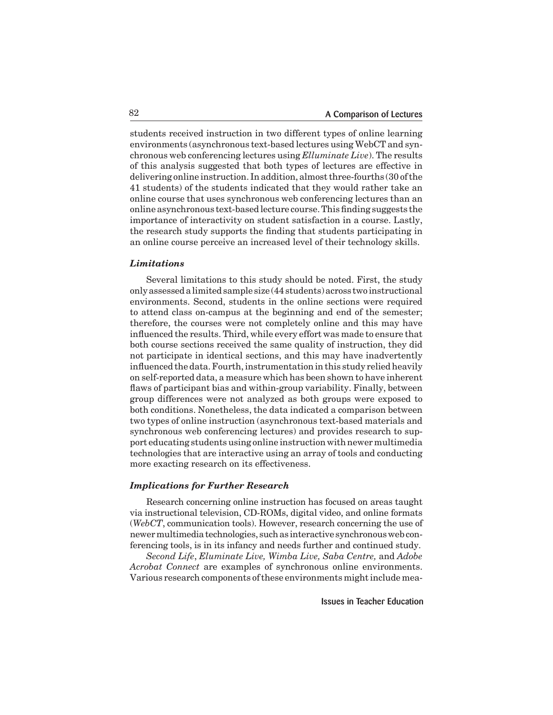students received instruction in two different types of online learning environments (asynchronous text-based lectures using WebCT and synchronous web conferencing lectures using *Elluminate Live*). The results of this analysis suggested that both types of lectures are effective in delivering online instruction. In addition, almost three-fourths (30 of the 41 students) of the students indicated that they would rather take an online course that uses synchronous web conferencing lectures than an online asynchronous text-based lecture course. This finding suggests the importance of interactivity on student satisfaction in a course. Lastly, the research study supports the finding that students participating in an online course perceive an increased level of their technology skills.

#### *Limitations*

 Several limitations to this study should be noted. First, the study onlyassessedalimitedsample size (44students)across two instructional environments. Second, students in the online sections were required to attend class on-campus at the beginning and end of the semester; therefore, the courses were not completely online and this may have influenced the results. Third, while every effort was made to ensure that both course sections received the same quality of instruction, they did not participate in identical sections, and this may have inadvertently influenced the data. Fourth, instrumentation in this study relied heavily on self-reported data, a measure which has been shown to have inherent flaws of participant bias and within-group variability. Finally, between group differences were not analyzed as both groups were exposed to both conditions. Nonetheless, the data indicated a comparison between two types of online instruction (asynchronous text-based materials and synchronous web conferencing lectures) and provides research to support educating students using online instruction with newer multimedia technologies that are interactive using an array of tools and conducting more exacting research on its effectiveness.

#### *Implications for Further Research*

Research concerning online instruction has focused on areas taught via instructional television, CD-ROMs, digital video, and online formats (*WebCT*, communication tools). However, research concerning the use of newermultimedia technologies, suchas interactive synchronousweb conferencing tools, is in its infancy and needs further and continued study.

*Second Life*, *Eluminate Live, Wimba Live, Saba Centre,* and *Adobe Acrobat Connect* are examples of synchronous online environments. Various research components of these environments might include mea-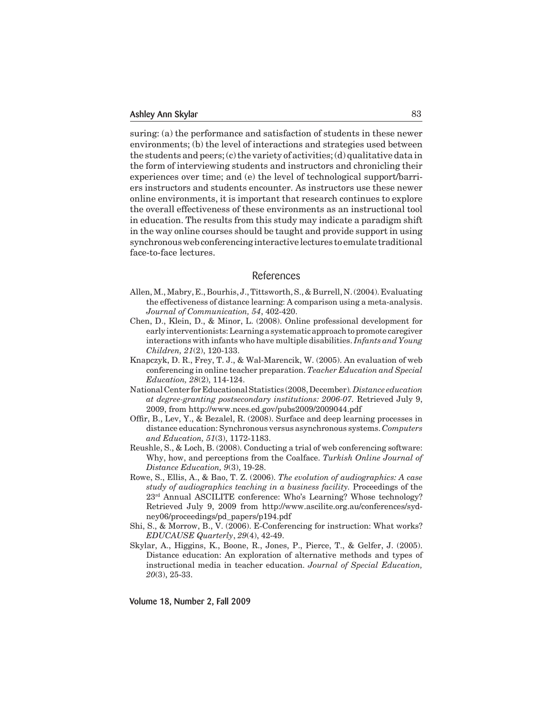suring: (a) the performance and satisfaction of students in these newer environments; (b) the level of interactions and strategies used between the students and peers; (c) the variety of activities; (d) qualitative data in the form of interviewing students and instructors and chronicling their experiences over time; and (e) the level of technological support/barriers instructors and students encounter. As instructors use these newer online environments, it is important that research continues to explore the overall effectiveness of these environments as an instructional tool in education. The results from this study may indicate a paradigm shift in the way online courses should be taught and provide support in using synchronouswebconferencinginteractive lectures to emulate traditional face-to-face lectures.

# References

- Allen, M., Mabry, E., Bourhis, J., Tittsworth, S., & Burrell, N. (2004). Evaluating the effectiveness of distance learning: A comparison using a meta-analysis. *Journal of Communication, 54*, 402-420.
- Chen, D., Klein, D., & Minor, L. (2008). Online professional development for early interventionists:Learningasystematic approachtopromote caregiver interactions with infants who have multiple disabilities. *Infants and Young Children, 21*(2), 120-133.
- Knapczyk, D. R., Frey, T. J., & Wal-Marencik, W. (2005). An evaluation of web conferencing in online teacher preparation. *Teacher Education and Special Education, 28*(2), 114-124.
- National Center for Educational Statistics (2008, December)*. Distance education at degree-granting postsecondary institutions: 2006-07.* Retrieved July 9, 2009, from http://www.nces.ed.gov/pubs2009/2009044.pdf
- Offir, B., Lev, Y., & Bezalel, R. (2008). Surface and deep learning processes in distance education: Synchronous versus asynchronous systems. *Computers and Education, 51*(3), 1172-1183.
- Reushle, S., & Loch, B. (2008). Conducting a trial of web conferencing software: Why, how, and perceptions from the Coalface. *Turkish Online Journal of Distance Education, 9*(3), 19-28.
- Rowe, S., Ellis, A., & Bao, T. Z. (2006). *The evolution of audiographics: A case study of audiographics teaching in a business facility.* Proceedings of the 23rd Annual ASCILITE conference: Who's Learning? Whose technology? Retrieved July 9, 2009 from http://www.ascilite.org.au/conferences/sydney06/proceedings/pd\_papers/p194.pdf
- Shi, S., & Morrow, B., V. (2006). E-Conferencing for instruction: What works? *EDUCAUSE Quarterly*, *29*(4), 42-49.
- Skylar, A., Higgins, K., Boone, R., Jones, P., Pierce, T., & Gelfer, J. (2005). Distance education: An exploration of alternative methods and types of instructional media in teacher education. *Journal of Special Education, 20*(3), 25-33.